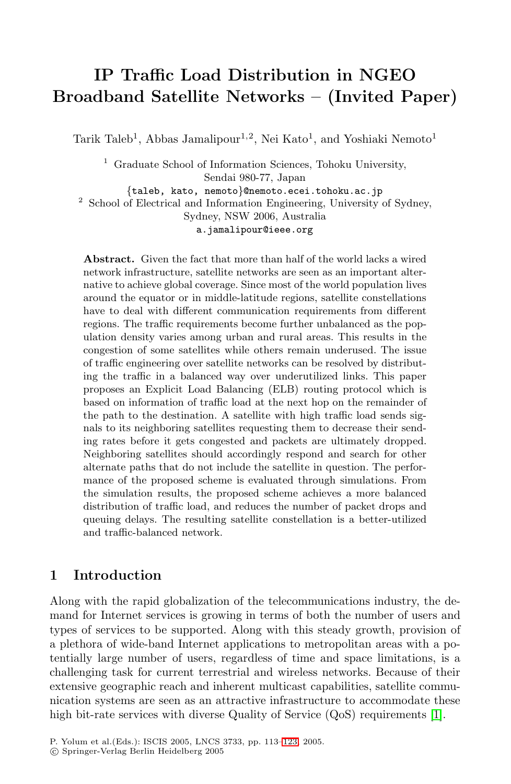# **IP Traffic Load Distribution in NGEO Broadband Satellite Networks – (Invited Paper)**

Tarik Taleb<sup>1</sup>, Abbas Jamalipour<sup>1,2</sup>, Nei Kato<sup>1</sup>, and Yoshiaki Nemoto<sup>1</sup>

<sup>1</sup> Graduate School of Information Sciences, Tohoku University, Sendai 980-77, Japan {taleb, kato, nemoto}@nemoto.ecei.tohoku.ac.jp <sup>2</sup> School of Electrical and Information Engineering, University of Sydney, Sydney, NSW 2006, Australia a.jamalipour@ieee.org

**Abstract.** Given the fact that more than half of the world lacks a wired network infrastructure, satellite networks are seen as an important alternative to achieve global coverage. Since most of the world population lives around the equator or in middle-latitude regions, satellite constellations have to deal with different communication requirements from different regions. The traffic requirements become further unbalanced as the population density varies among urban and rural areas. This results in the congestion of some satellites while others remain underused. The issue of traffic engineering over satellite networks can be resolved by distributing the traffic in a balanced way over underutilized links. This paper proposes an Explicit Load Balancing (ELB) routing protocol which is based on information of traffic load at the next hop on the remainder of the path to the destination. A satellite with high traffic load sends signals to its neighboring satellites requesting them to decrease their sending rates before it gets congested and packets are ultimately dropped. Neighboring satellites should accordingly respond and search for other alternate paths that do not include the satellite in question. The performance of the proposed scheme is evaluated through simulations. From the simulation results, the proposed scheme achieves a more balanced distribution of traffic load, and reduces the number of packet drops and queuing delays. The resulting satellite constellation is a better-utilized and traffic-balanced network.

## **1 Introduction**

Along with the rapid globalization of the telecommunications industry, the demand for Internet services is growing in terms of both [th](#page-8-0)e number of users and types of services to be supported. Along with this steady growth, provision of a plethora of wide-band I[nter](#page-8-1)net applications to metropolitan areas with a potentially large number of users, regardless of time and space limitations, is a challenging task for current terrestrial and wireless networks. Because of their extensive geographic reach and inherent multicast capabilities, satellite communication systems are seen as an attractive infrastructure to accommodate these high bit-rate services with diverse Quality of Service (QoS) requirements [1].

P. Yolum et al.(Eds.): ISCIS 2005, LNCS 3733, pp. 113–123, 2005.

c Springer-Verlag Berlin Heidelberg 2005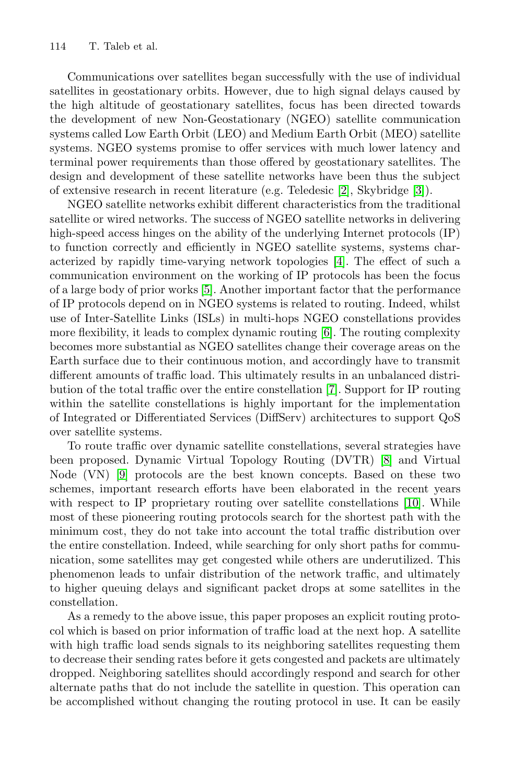Communications over satellites began successfully with the use of individual satellites in geostationary orbits. Ho[we](#page-9-0)ver, due to [hig](#page-9-1)h signal delays caused by the high altitude of geostationary satellites, focus has been directed towards the development of new Non-Geostationary (NGEO) satellite communication systems called Low Earth Orbit (LEO) and Medium Earth Orbit (MEO) satellite systems. NGEO systems promise to offer services with much lower latency and terminal power requirements than t[ho](#page-9-2)se offered by geostationary satellites. The design and development of these satellite networks have been thus the subject of extensi[ve](#page-9-3) research in recent literature (e.g. Teledesic [2], Skybridge [3]).

NGEO satellite networks exhibit different characteristics from the traditional satellite or wired networks. The success of NGEO satellite networks in delivering high-speed access hinges on the a[bil](#page-9-4)ity of the underlying Internet protocols (IP) to function correctly and efficiently in NGEO satellite systems, systems characterized by rapidly time-varying network topologies [4]. The effect of such a communication environment on the working of IP protocols has been the focus of a large body of prior works [5]. A[no](#page-9-5)ther important factor that the performance of IP protocols depend on in NGEO systems is related to routing. Indeed, whilst use of Inter-Satellite Links (ISLs) in multi-hops NGEO constellations provides more flexibility, it leads to complex dynamic routing [6]. The routing complexity becomes more substantial as NGEO satellites change their coverage areas on the Earth surface due to their continuous motion[, a](#page-9-6)nd accordingly have to transmit different amounts of traffic load. This ultimately results in an unbalanced distribution of the total traffic over the entire constellation [7]. Support for IP routing within the satellite constellations is highly impo[rta](#page-9-7)nt for the implementation of Integrated or Differentiated Services (DiffServ) architectures to support QoS over satellite systems.

To route traffic over dynamic satellite constellations, several strategies have been proposed. Dynamic Virtual Topology Routing (DVTR) [8] and Virtual Node (VN) [9] protocols are the best known concepts. Based on these two schemes, important research efforts have been elaborated in the recent years with respect to IP proprietary routing over satellite constellations [10]. While most of these pioneering routing protocols search for the shortest path with the minimum cost, they do not take into account the total traffic distribution over the entire constellation. Indeed, while searching for only short paths for communication, some satellites may get congested while others are underutilized. This phenomenon leads to unfair distribution of the network traffic, and ultimately to higher queuing delays and significant packet drops at some satellites in the constellation.

As a remedy to the above issue, this paper proposes an explicit routing protocol which is based on prior information of traffic load at the next hop. A satellite with high traffic load sends signals to its neighboring satellites requesting them to decrease their sending rates before it gets congested and packets are ultimately dropped. Neighboring satellites should accordingly respond and search for other alternate paths that do not include the satellite in question. This operation can be accomplished without changing the routing protocol in use. It can be easily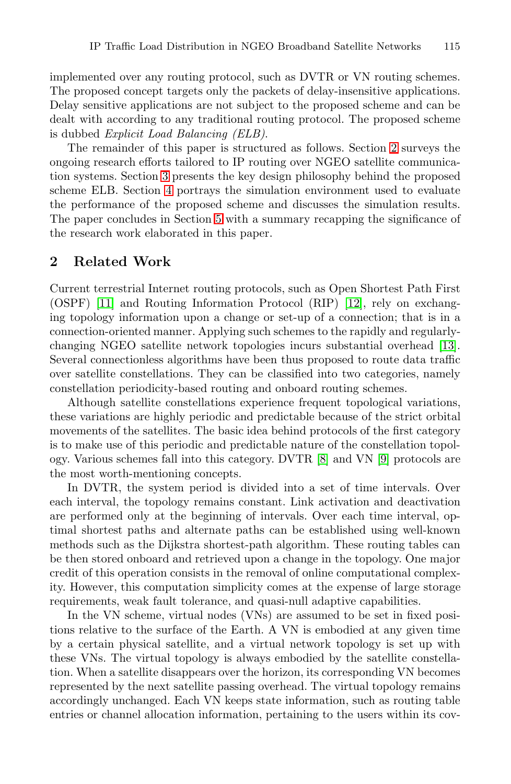im[pl](#page-4-0)emented over any routing protocol, such as DVTR or VN routing schemes. Th[e](#page-6-0) [p](#page-6-0)roposed concept targets only the packets of delay-insensitive applications. Delay sensitive applications are not subject to the proposed scheme and can be dealt with a[cco](#page-8-2)rding to any traditional routing protocol. The proposed scheme is dubbed Explicit Load Balancing (ELB).

<span id="page-2-0"></span>The remainder of this paper is structured as follows. Section 2 surveys the ongoing research efforts tailored to IP routing over NGEO satellite communication systems. Section 3 presents the key design philosophy behind the proposed scheme ELB. Section 4 portrays the simulation environment used to evaluate the performance of the proposed sche[me](#page-9-8) and discusses the simulation results. The paper concludes in Section 5 with a summary recapping the significance of the research work elaborated in this paper.

# **2 Related Work**

Current terrestrial Internet routing protocols, such as Open Shortest Path First (OSPF) [11] and Routing Information Protocol (RIP) [12], rely on exchanging topology information upon a change or set-up of a connection; that is in a connection-oriented manner. Applying such schemes to the rapidly and regularlychanging NGEO satellite network topologies incurs substantial overhead [13]. Several connectionless algorithm[s h](#page-9-6)ave been [th](#page-9-9)us proposed to route data traffic over satellite constellations. They can be classified into two categories, namely constellation periodicity-based routing and onboard routing schemes.

Although satellite constellations experience frequent topological variations, these variations are highly periodic and predictable because of the strict orbital movements of the satellites. The basic idea behind protocols of the first category is to make use of this periodic and predictable nature of the constellation topology. Various schemes fall into this category. DVTR [8] and VN [9] protocols are the most worth-mentioning concepts.

In DVTR, the system period is divided into a set of time intervals. Over each interval, the topology remains constant. Link activation and deactivation are performed only at the beginning of intervals. Over each time interval, optimal shortest paths and alternate paths can be established using well-known methods such as the Dijkstra shortest-path algorithm. These routing tables can be then stored onboard and retrieved upon a change in the topology. One major credit of this operation consists in the removal of online computational complexity. However, this computation simplicity comes at the expense of large storage requirements, weak fault tolerance, and quasi-null adaptive capabilities.

In the VN scheme, virtual nodes (VNs) are assumed to be set in fixed positions relative to the surface of the Earth. A VN is embodied at any given time by a certain physical satellite, and a virtual network topology is set up with these VNs. The virtual topology is always embodied by the satellite constellation. When a satellite disappears over the horizon, its corresponding VN becomes represented by the next satellite passing overhead. The virtual topology remains accordingly unchanged. Each VN keeps state information, such as routing table entries or channel allocation information, pertaining to the users within its cov-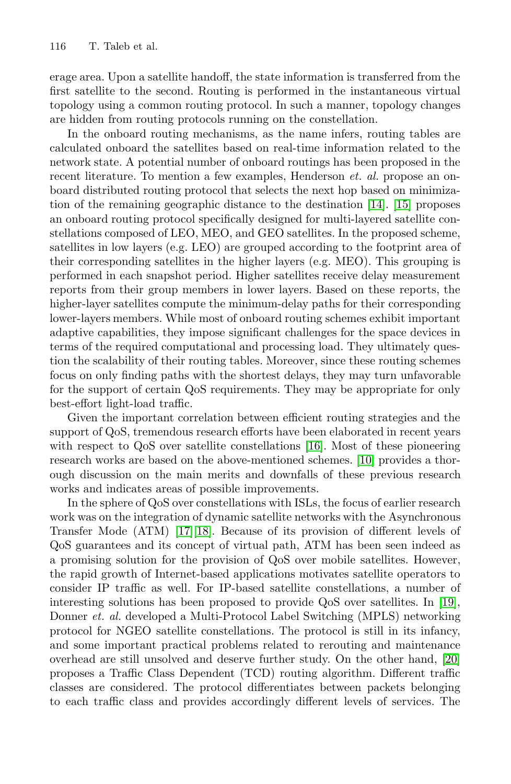erage area. Upon a satellite handoff, the state information is transferred from the first satellite to the second. Routing is performed in the instantaneous virtual topology using a common routing protocol[.](#page-9-10) [In](#page-9-10) s[uch](#page-9-11) a manner, topology changes are hidden from routing protocols running on the constellation.

In the onboard routing mechanisms, as the name infers, routing tables are calculated onboard the satellites based on real-time information related to the network state. A potential number of onboard routings has been proposed in the recent literature. To mention a few examples, Henderson et. al. propose an onboard distributed routing protocol that selects the next hop based on minimization of the remaining geographic distance to the destination [14]. [15] proposes an onboard routing protocol specifically designed for multi-layered satellite constellations composed of LEO, MEO, and GEO satellites. In the proposed scheme, satellites in low layers (e.g. LEO) are grouped according to the footprint area of their corresponding satellites in the higher layers (e.g. MEO). This grouping is performed in each snapshot period. Higher satellites receive delay measurement reports from their group members in lower layers. Based on these reports, the higher-layer satellites compute the minimum-delay paths for their corresponding lower-layers members. While most of onboard routing schemes exhibit important adaptive capabilities, they impose significant challenges for the space devices in terms of the required computa[tion](#page-9-12)al and processing load. They ultimately question the scalability of their routing tables[. M](#page-9-7)oreover, since these routing schemes focus on only finding paths with the shortest delays, they may turn unfavorable for the support of certain QoS requirements. They may be appropriate for only best-effort light-load traffic.

Given the important correlation between efficient routing strategies and the supp[ort o](#page-9-13)[f Q](#page-9-14)oS, tremendous research efforts have been elaborated in recent years with respect to QoS over satellite constellations [16]. Most of these pioneering research works are based on the above-mentioned schemes. [10] provides a thorough discussion on the main merits and downfalls of these previous research works and indicates areas of possible improvements.

In the sphere of QoS over constellations with ISLs, the [foc](#page-9-15)us of earlier research work was on the integration of dynamic satellite networks with the Asynchronous Transfer Mode (ATM) [17][18]. Because of its provision of different levels of QoS guarantees and its concept of virtual path, ATM has been seen indeed as a promising solution for the provision of QoS over mob[ile](#page-9-16) satellites. However, the rapid growth of Internet-based applications motivates satellite operators to consider IP traffic as well. For IP-based satellite constellations, a number of interesting solutions has been proposed to provide QoS over satellites. In [19], Donner et. al. developed a Multi-Protocol Label Switching (MPLS) networking protocol for NGEO satellite constellations. The protocol is still in its infancy, and some important practical problems related to rerouting and maintenance overhead are still unsolved and deserve further study. On the other hand, [20] proposes a Traffic Class Dependent (TCD) routing algorithm. Different traffic classes are considered. The protocol differentiates between packets belonging to each traffic class and provides accordingly different levels of services. The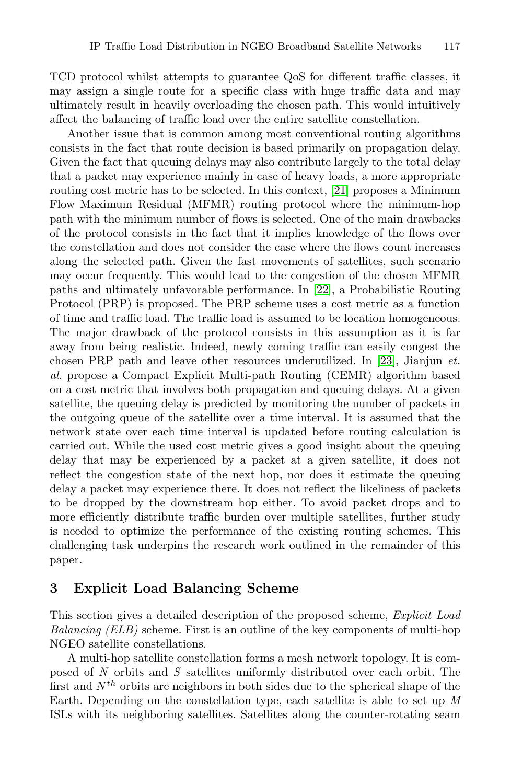TCD protocol whilst attempts to guarantee QoS for different traffic classes, it may assign a single route for a sp[ecifi](#page-10-0)c class with huge traffic data and may ultimately result in heavily overloading the chosen path. This would intuitively affect the balancing of traffic load over the entire satellite constellation.

Another issue that is common among most conventional routing algorithms consists in the fact that route decision is based primarily on propagation delay. Given the fact that queuing delays may also contribute largely to the total delay that a packet may experience mainly in case of heavy loads, a more appropriate routing cost metric has to be sel[ecte](#page-10-1)d. In this context, [21] proposes a Minimum Flow Maximum Residual (MFMR) routing protocol where the minimum-hop path with the minimum number of flows is selected. One of the main drawbacks of the protocol consists in the fact that it implies knowledge of the flows over the constellation and does not consider the case where the flows count increases along the selected path. Given the fast mo[vem](#page-10-2)ents of satellites, such scenario may occur frequently. This would lead to the congestion of the chosen MFMR paths and ultimately unfavorable performance. In [22], a Probabilistic Routing Protocol (PRP) is proposed. The PRP scheme uses a cost metric as a function of time and traffic load. The traffic load is assumed to be location homogeneous. The major drawback of the protocol consists in this assumption as it is far away from being realistic. Indeed, newly coming traffic can easily congest the chosen PRP path and leave other resources underutilized. In [23], Jianjun et. al. propose a Compact Explicit Multi-path Routing (CEMR) algorithm based on a cost metric that involves both propagation and queuing delays. At a given satellite, the queuing delay is predicted by monitoring the number of packets in the outgoing queue of the satellite over a time interval. It is assumed that the network state over each time interval is updated before routing calculation is carried out. While the used cost metric gives a good insight about the queuing delay that may be experienced by a packet at a given satellite, it does not reflect the congestion state of the next hop, nor does it estimate the queuing delay a packet may experience there. It does not reflect the likeliness of packets to be dropped by the downstream hop either. To avoid packet drops and to more efficiently distribute traffic burden over multiple satellites, further study is needed to optimize the performance of the existing routing schemes. This challenging task underpins the research work outlined in the remainder of this paper.

## <span id="page-4-0"></span>**3 Explicit Load Balancing Scheme**

This section gives a detailed description of the proposed scheme, Explicit Load Balancing (ELB) scheme. First is an outline of the key components of multi-hop NGEO satellite constellations.

A multi-hop satellite constellation forms a mesh network topology. It is composed of N orbits and S satellites uniformly distributed over each orbit. The first and  $N^{th}$  orbits are neighbors in both sides due to the spherical shape of the Earth. Depending on the constellation type, each satellite is able to set up M ISLs with its neighboring satellites. Satellites along the counter-rotating seam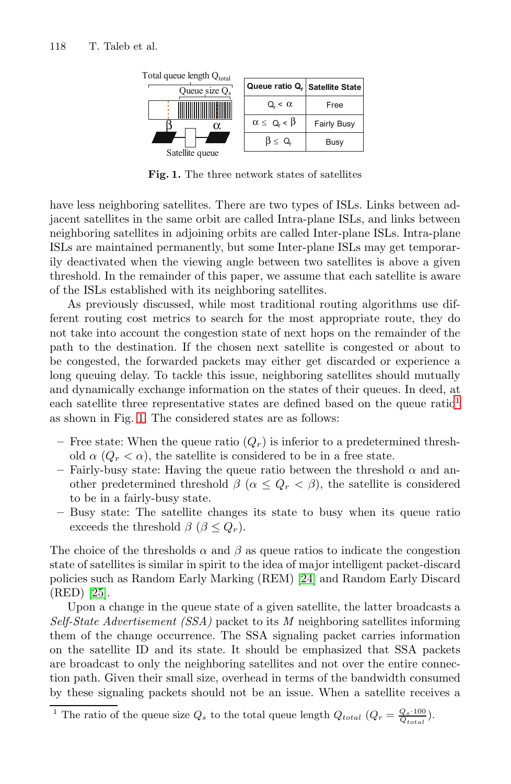

**Fig. 1.** The three network states of satellites

have less neighboring satellites. There are two types of ISLs. Links between adjacent satellites in the same orbit are called Intra-plane ISLs, and links between neighboring satellites in adjoining orbits are called Inter-plane ISLs. Intra-plane ISLs are maintained permanently, but some Inter-plane ISLs may get temporarily deactivated when the viewing angle between two satellites is above a given threshold. In the remainder of this paper, we assume that each satellite is aware of the ISLs established with its neighboring satellites.

As previously discussed, while most traditional routin[g a](#page-5-0)lgorithms use different routing cost metrics to search for the most appropriate route, they do not take into account the congestion state of next hops on the remainder of the path to the destination. If the chosen next satellite is congested or about to be congested, the forwarded packets may either get discarded or experience a long queuing delay. To tackle this issue, neighboring satellites should mutually and dynamically exchange information on the states of their queues. In deed, at each satellite three representative states are defined based on the queue ratio<sup>1</sup> as shown in Fig. 1. The considered states are as follows:

- Free state: When the queue ratio  $(Q_r)$  is inferior to a predetermined threshold  $\alpha$  ( $Q_r < \alpha$ ), the satellite is considered to be in a free state.
- Fairly-busy state: Havin[g th](#page-10-3)e queue ratio between the threshold  $\alpha$  and another predetermined threshold  $\beta$  ( $\alpha \leq Q_r < \beta$ ), the satellite is considered to be in a fairly-busy state.
- **–** Busy state: The satellite changes its state to busy when its queue ratio exceeds the threshold  $\beta$  ( $\beta \leq Q_r$ ).

The choice of the thresholds  $\alpha$  and  $\beta$  as queue ratios to indicate the congestion state of satellites is similar in spirit to the idea of major intelligent packet-discard policies such as Random Early Marking (REM) [24] and Random Early Discard (RED) [25].

<span id="page-5-0"></span>Upon a change in the queue state of a given satellite, the latter broadcasts a Self-State Advertisement (SSA) packet to its M neighboring satellites informing them of the change occurrence. The SSA signaling packet carries information on the satellite ID and its state. It should be emphasized that SSA packets are broadcast to only the neighboring satellites and not over the entire connection path. Given their small size, overhead in terms of the bandwidth consumed by these signaling packets should not be an issue. When a satellite receives a

<sup>&</sup>lt;sup>1</sup> The ratio of the queue size  $Q_s$  to the total queue length  $Q_{total}$  ( $Q_r = \frac{Q_s \cdot 100}{Q_{total}}$ ).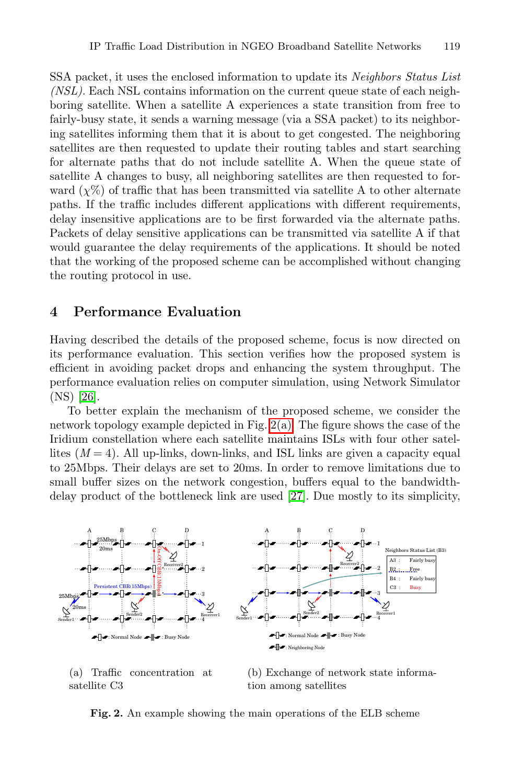SSA packet, it uses the enclosed information to update its Neighbors Status List (NSL). Each NSL contains information on the current queue state of each neighboring satellite. When a satellite A experiences a state transition from free to fairly-busy state, it sends a warning message (via a SSA packet) to its neighboring satellites informing them that it is about to get congested. The neighboring satellites are then requested to update their routing tables and start searching for alternate paths that do not include satellite A. When the queue state of satellite A changes to busy, all neighboring satellites are then requested to forward  $(\chi\%)$  of traffic that has been transmitted via satellite A to other alternate paths. If the traffic includes different applications with different requirements, delay insensitive applications are to be first forwarded via the alternate paths. Packets of delay sensitive applications can be transmitted via satellite A if that would guarantee the delay requirements of the applications. It should be noted that the working of the proposed scheme can be accomplished without changing the routing protocol in use.

## <span id="page-6-0"></span>**4 Performance [Eval](#page-6-1)uation**

Having described the details of the proposed scheme, focus is now directed on its performance evaluation. This section verifies how the proposed system is efficient in avoiding packet drops and enhancing the system throughput. The performance evaluation relies on computer simulation, using Network Simulator (NS) [26].

To better explain the mechanism of the proposed scheme, we consider the network topology example depicted in Fig. 2(a). The figure shows the case of the Iridium constellation where each satellite maintains ISLs with four other satellites  $(M = 4)$ . All up-links, down-links, and ISL links are given a capacity equal to 25Mbps. Their delays are set to 20ms. In order to remove limitations due to small buffer sizes on the network congestion, buffers equal to the bandwidthdelay product of the bottleneck link are used [27]. Due mostly to its simplicity,

<span id="page-6-2"></span><span id="page-6-1"></span>

(a) Traffic concentration at satellite C3

(b) Exchange of network state information among satellites

**Fig. 2.** An example showing the main operations of the ELB scheme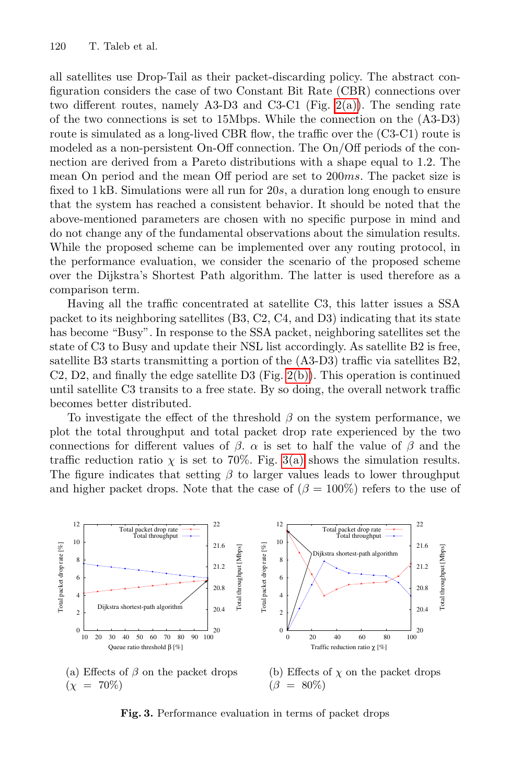all satellites use Drop-Tail as their packet-discarding policy. The abstract configuration considers the case of two Constant Bit Rate (CBR) connections over two different routes, namely A3-D3 and C3-C1 (Fig.  $2(a)$ ). The sending rate of the two connections is set to 15Mbps. While the connection on the (A3-D3) route is simulated as a long-lived CBR flow, the traffic over the (C3-C1) route is modeled as a non-persistent On-Off connection. The On/Off periods of the connection are derived from a Pareto distributions with a shape equal to 1.2. The mean On period and the mean Off period are set to 200ms. The packet size is fixed to 1kB. Simulations were all run for 20s, a duration long enough to ensure that the system has reached a consistent behavior. It should be noted that the above-mentioned parameters are chosen with no specific purpose in mind and do not change any of the fundamental observations about the simulation results. While the proposed scheme can be implemented over any routing protocol, in the performance evaluation, we consider the scenario of the proposed scheme over the Dijkstra's Shorte[st Pa](#page-6-2)th algorithm. The latter is used therefore as a comparison term.

Having all the traffic concentrated at satellite C3, this latter issues a SSA packet to its neighboring satellites (B3, C2, C4, and D3) indicating that its state has become "Busy". In response to the SSA packet, neighboring satellites set the state of C3 to Busy and update their NSL list accordingly. As satellite B2 is free, satellite B3 starts transmi[tting](#page-7-0) a portion of the (A3-D3) traffic via satellites B2, C2, D2, and finally the edge satellite D3 (Fig. 2(b)). This operation is continued until satellite C3 transits to a free state. By so doing, the overall network traffic becomes better distributed.

To investigate the effect of the threshold  $\beta$  on the system performance, we plot the total throughput and total packet drop rate experienced by the two connections for different values of  $\beta$ .  $\alpha$  is set to half the value of  $\beta$  and the traffic reduction ratio  $\chi$  is set to 70%. Fig. 3(a) shows the simulation results. The figure indicates that setting  $\beta$  to larger values leads to lower throughput and higher packet drops. Note that the case of  $(\beta = 100\%)$  refers to the use of

<span id="page-7-0"></span>

**Fig. 3.** Performance evaluation in terms of packet drops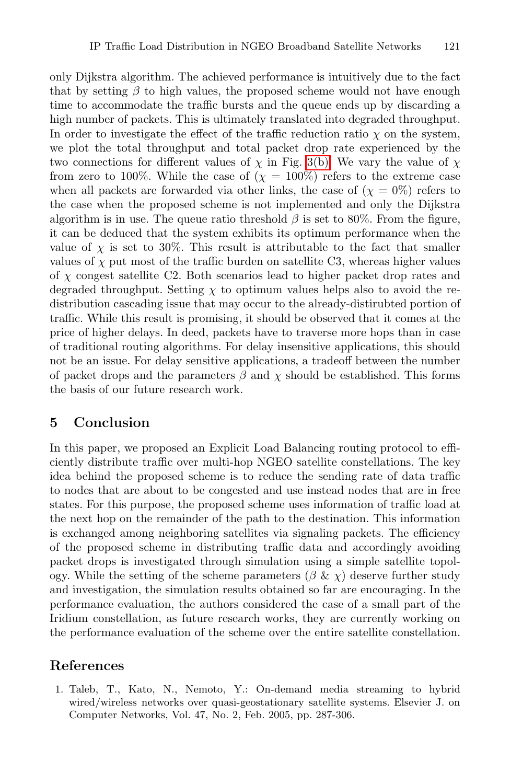only Dijkstra algorithm. The achieved performance is intuitively due to the fact that by setting  $\beta$  to high values, the proposed scheme would not have enough time to accommodate the traffic bursts and the queue ends up by discarding a high number of packets. This is ultimately translated into degraded throughput. In order to investigate the effect of the traffic reduction ratio  $\chi$  on the system, we plot the total throughput and total packet drop rate experienced by the two connections for different values of  $\chi$  in Fig. 3(b). We vary the value of  $\chi$ from zero to 100%. While the case of  $(\chi = 100\%)$  refers to the extreme case when all packets are forwarded via other links, the case of  $(\chi = 0\%)$  refers to the case when the proposed scheme is not implemented and only the Dijkstra algorithm is in use. The queue ratio threshold  $\beta$  is set to 80%. From the figure, it can be deduced that the system exhibits its optimum performance when the value of  $\chi$  is set to 30%. This result is attributable to the fact that smaller values of  $\chi$  put most of the traffic burden on satellite C3, whereas higher values of  $\chi$  congest satellite C2. Both scenarios lead to higher packet drop rates and degraded throughput. Setting  $\chi$  to optimum values helps also to avoid the redistribution cascading issue that may occur to the already-distirubted portion of traffic. While this result is promising, it should be observed that it comes at the price of higher delays. In deed, packets have to traverse more hops than in case of traditional routing algorithms. For delay insensitive applications, this should not be an issue. For delay sensitive applications, a tradeoff between the number of packet drops and the parameters  $\beta$  and  $\gamma$  should be established. This forms the basis of our future research work.

## <span id="page-8-2"></span>**5 Conclusion**

In this paper, we proposed an Explicit Load Balancing routing protocol to efficiently distribute traffic over multi-hop NGEO satellite constellations. The key idea behind the proposed scheme is to reduce the sending rate of data traffic to nodes that are about to be congested and use instead nodes that are in free states. For this purpose, the proposed scheme uses information of traffic load at the next hop on the remainder of the path to the destination. This information is exchanged among neighboring satellites via signaling packets. The efficiency of the proposed scheme in distributing traffic data and accordingly avoiding packet drops is investigated through simulation using a simple satellite topology. While the setting of the scheme parameters  $(\beta \& \chi)$  deserve further study and investigation, the simulation results obtained so far are encouraging. In the performance evaluation, the authors considered the case of a small part of the Iridium constellation, as future research works, they are currently working on the performance evaluation of the scheme over the entire satellite constellation.

### <span id="page-8-1"></span><span id="page-8-0"></span>**References**

1. Taleb, T., Kato, N., Nemoto, Y.: On-demand media streaming to hybrid wired/wireless networks over quasi-geostationary satellite systems. Elsevier J. on Computer Networks, Vol. 47, No. 2, Feb. 2005, pp. 287-306.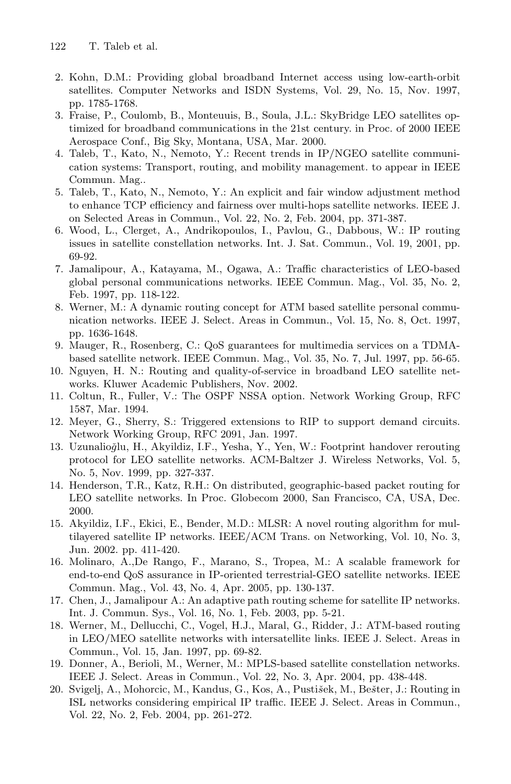- <span id="page-9-0"></span>2. Kohn, D.M.: Providing global broadband Internet access using low-earth-orbit satellites. Computer Networks and ISDN Systems, Vol. 29, No. 15, Nov. 1997, pp. 1785-1768.
- <span id="page-9-1"></span>3. Fraise, P., Coulomb, B., Monteuuis, B., Soula, J.L.: SkyBridge LEO satellites optimized for broadband communications in the 21st century. in Proc. of 2000 IEEE Aerospace Conf., Big Sky, Montana, USA, Mar. 2000.
- <span id="page-9-2"></span>4. Taleb, T., Kato, N., Nemoto, Y.: Recent trends in IP/NGEO satellite communication systems: Transport, routing, and mobility management. to appear in IEEE Commun. Mag..
- <span id="page-9-3"></span>5. Taleb, T., Kato, N., Nemoto, Y.: An explicit and fair window adjustment method to enhance TCP efficiency and fairness over multi-hops satellite networks. IEEE J. on Selected Areas in Commun., Vol. 22, No. 2, Feb. 2004, pp. 371-387.
- <span id="page-9-4"></span>6. Wood, L., Clerget, A., Andrikopoulos, I., Pavlou, G., Dabbous, W.: IP routing issues in satellite constellation networks. Int. J. Sat. Commun., Vol. 19, 2001, pp. 69-92.
- <span id="page-9-5"></span>7. Jamalipour, A., Katayama, M., Ogawa, A.: Traffic characteristics of LEO-based global personal communications networks. IEEE Commun. Mag., Vol. 35, No. 2, Feb. 1997, pp. 118-122.
- <span id="page-9-6"></span>8. Werner, M.: A dynamic routing concept for ATM based satellite personal communication networks. IEEE J. Select. Areas in Commun., Vol. 15, No. 8, Oct. 1997, pp. 1636-1648.
- <span id="page-9-9"></span>9. Mauger, R., Rosenberg, C.: QoS guarantees for multimedia services on a TDMAbased satellite network. IEEE Commun. Mag., Vol. 35, No. 7, Jul. 1997, pp. 56-65.
- <span id="page-9-7"></span>10. Nguyen, H. N.: Routing and quality-of-service in broadband LEO satellite networks. Kluwer Academic Publishers, Nov. 2002.
- 11. Coltun, R., Fuller, V.: The OSPF NSSA option. Network Working Group, RFC 1587, Mar. 1994.
- <span id="page-9-8"></span>12. Meyer, G., Sherry, S.: Triggered extensions to RIP to support demand circuits. Network Working Group, RFC 2091, Jan. 1997.
- 13. Uzunalioğlu, H., Akyildiz, I.F., Yesha, Y., Yen, W.: Footprint handover rerouting protocol for LEO satellite networks. ACM-Baltzer J. Wireless Networks, Vol. 5, No. 5, Nov. 1999, pp. 327-337.
- <span id="page-9-10"></span>14. Henderson, T.R., Katz, R.H.: On distributed, geographic-based packet routing for LEO satellite networks. In Proc. Globecom 2000, San Francisco, CA, USA, Dec. 2000.
- <span id="page-9-11"></span>15. Akyildiz, I.F., Ekici, E., Bender, M.D.: MLSR: A novel routing algorithm for multilayered satellite IP networks. IEEE/ACM Trans. on Networking, Vol. 10, No. 3, Jun. 2002. pp. 411-420.
- <span id="page-9-12"></span>16. Molinaro, A.,De Rango, F., Marano, S., Tropea, M.: A scalable framework for end-to-end QoS assurance in IP-oriented terrestrial-GEO satellite networks. IEEE Commun. Mag., Vol. 43, No. 4, Apr. 2005, pp. 130-137.
- <span id="page-9-13"></span>17. Chen, J., Jamalipour A.: An adaptive path routing scheme for satellite IP networks. Int. J. Commun. Sys., Vol. 16, No. 1, Feb. 2003, pp. 5-21.
- <span id="page-9-14"></span>18. Werner, M., Dellucchi, C., Vogel, H.J., Maral, G., Ridder, J.: ATM-based routing in LEO/MEO satellite networks with intersatellite links. IEEE J. Select. Areas in Commun., Vol. 15, Jan. 1997, pp. 69-82.
- <span id="page-9-15"></span>19. Donner, A., Berioli, M., Werner, M.: MPLS-based satellite constellation networks. IEEE J. Select. Areas in Commun., Vol. 22, No. 3, Apr. 2004, pp. 438-448.
- <span id="page-9-16"></span>20. Svigelj, A., Mohorcic, M., Kandus, G., Kos, A., Pustišek, M., Bešter, J.: Routing in ISL networks considering empirical IP traffic. IEEE J. Select. Areas in Commun., Vol. 22, No. 2, Feb. 2004, pp. 261-272.